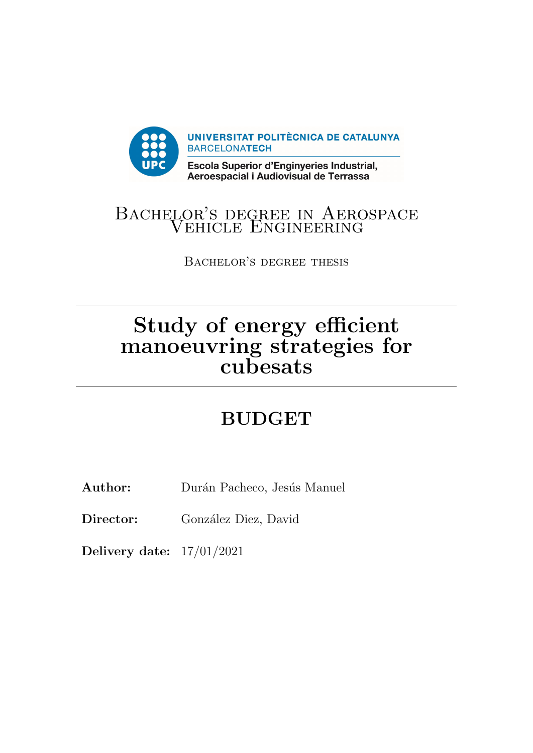

## Bachelor's degree in Aerospace LOR'S DEGREE IN AERC<br>VEHICLE ENGINEERING

Bachelor's degree thesis

# Study of energy efficient manoeuvring strategies for cubesats

## BUDGET

Author: Durán Pacheco, Jesús Manuel

Director: González Diez, David

Delivery date: 17/01/2021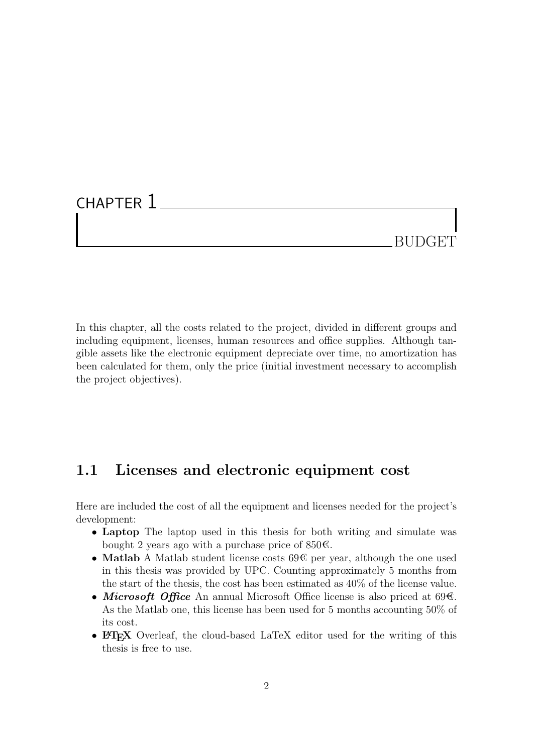### CHAPTER 1

## BUDGET

In this chapter, all the costs related to the project, divided in different groups and including equipment, licenses, human resources and office supplies. Although tangible assets like the electronic equipment depreciate over time, no amortization has been calculated for them, only the price (initial investment necessary to accomplish the project objectives).

#### 1.1 Licenses and electronic equipment cost

Here are included the cost of all the equipment and licenses needed for the project's development:

- Laptop The laptop used in this thesis for both writing and simulate was bought 2 years ago with a purchase price of 850€.
- Matlab A Matlab student license costs 69€ per year, although the one used in this thesis was provided by UPC. Counting approximately 5 months from the start of the thesis, the cost has been estimated as 40% of the license value.
- Microsoft Office An annual Microsoft Office license is also priced at 69€. As the Matlab one, this license has been used for 5 months accounting 50% of its cost.
- LAT<sub>EX</sub> Overleaf, the cloud-based LaTeX editor used for the writing of this thesis is free to use.